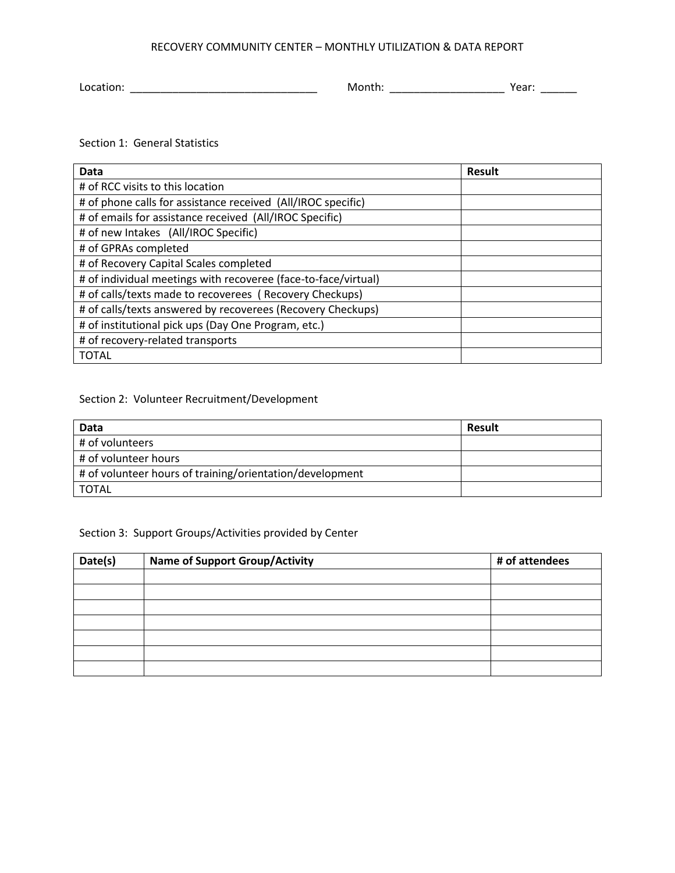## RECOVERY COMMUNITY CENTER – MONTHLY UTILIZATION & DATA REPORT

Location: \_\_\_\_\_\_\_\_\_\_\_\_\_\_\_\_\_\_\_\_\_\_\_\_\_\_\_\_\_\_\_ Month: \_\_\_\_\_\_\_\_\_\_\_\_\_\_\_\_\_\_\_ Year: \_\_\_\_\_\_

Section 1: General Statistics

| Data                                                           | <b>Result</b> |
|----------------------------------------------------------------|---------------|
| # of RCC visits to this location                               |               |
| # of phone calls for assistance received (All/IROC specific)   |               |
| # of emails for assistance received (All/IROC Specific)        |               |
| # of new Intakes (All/IROC Specific)                           |               |
| # of GPRAs completed                                           |               |
| # of Recovery Capital Scales completed                         |               |
| # of individual meetings with recoveree (face-to-face/virtual) |               |
| # of calls/texts made to recoverees (Recovery Checkups)        |               |
| # of calls/texts answered by recoverees (Recovery Checkups)    |               |
| # of institutional pick ups (Day One Program, etc.)            |               |
| # of recovery-related transports                               |               |
| <b>TOTAL</b>                                                   |               |

## Section 2: Volunteer Recruitment/Development

| Data                                                     | Result |
|----------------------------------------------------------|--------|
| # of volunteers                                          |        |
| # of volunteer hours                                     |        |
| # of volunteer hours of training/orientation/development |        |
| TOTAL                                                    |        |

## Section 3: Support Groups/Activities provided by Center

| Date(s) | <b>Name of Support Group/Activity</b> | # of attendees |  |
|---------|---------------------------------------|----------------|--|
|         |                                       |                |  |
|         |                                       |                |  |
|         |                                       |                |  |
|         |                                       |                |  |
|         |                                       |                |  |
|         |                                       |                |  |
|         |                                       |                |  |